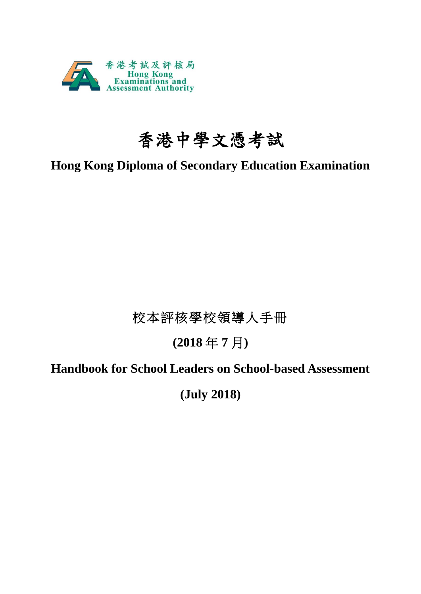

# 香港中學文憑考試

# **Hong Kong Diploma of Secondary Education Examination**

# 校本評核學校領導人手冊

# **(2018** 年 **7** 月**)**

# **Handbook for School Leaders on School-based Assessment**

**(July 2018)**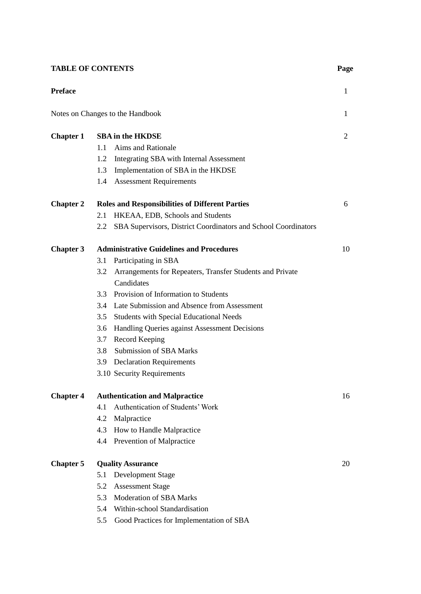# **TABLE OF CONTENTS** Page

| <b>Preface</b>   |                                                                       | $\mathbf{1}$ |
|------------------|-----------------------------------------------------------------------|--------------|
|                  | Notes on Changes to the Handbook                                      | 1            |
| <b>Chapter 1</b> | <b>SBA</b> in the HKDSE                                               | 2            |
|                  | 1.1<br>Aims and Rationale                                             |              |
|                  | 1.2<br>Integrating SBA with Internal Assessment                       |              |
|                  | Implementation of SBA in the HKDSE<br>1.3                             |              |
|                  | <b>Assessment Requirements</b><br>1.4                                 |              |
| <b>Chapter 2</b> | <b>Roles and Responsibilities of Different Parties</b>                | 6            |
|                  | HKEAA, EDB, Schools and Students<br>2.1                               |              |
|                  | SBA Supervisors, District Coordinators and School Coordinators<br>2.2 |              |
| <b>Chapter 3</b> | <b>Administrative Guidelines and Procedures</b>                       | 10           |
|                  | Participating in SBA<br>3.1                                           |              |
|                  | Arrangements for Repeaters, Transfer Students and Private<br>3.2      |              |
|                  | Candidates                                                            |              |
|                  | Provision of Information to Students<br>$3.3^{\circ}$                 |              |
|                  | 3.4 Late Submission and Absence from Assessment                       |              |
|                  | <b>Students with Special Educational Needs</b><br>3.5                 |              |
|                  | Handling Queries against Assessment Decisions<br>3.6                  |              |
|                  | Record Keeping<br>3.7                                                 |              |
|                  | <b>Submission of SBA Marks</b><br>3.8                                 |              |
|                  | 3.9 Declaration Requirements                                          |              |
|                  | 3.10 Security Requirements                                            |              |
| <b>Chapter 4</b> | <b>Authentication and Malpractice</b>                                 | 16           |
|                  | Authentication of Students' Work<br>4.1                               |              |
|                  | 4.2<br>Malpractice                                                    |              |
|                  | How to Handle Malpractice<br>4.3                                      |              |
|                  | Prevention of Malpractice<br>4.4                                      |              |
| <b>Chapter 5</b> | <b>Quality Assurance</b>                                              | 20           |
|                  | Development Stage<br>5.1                                              |              |
|                  | <b>Assessment Stage</b><br>5.2                                        |              |
|                  | <b>Moderation of SBA Marks</b><br>5.3                                 |              |
|                  | Within-school Standardisation<br>5.4                                  |              |
|                  | 5.5<br>Good Practices for Implementation of SBA                       |              |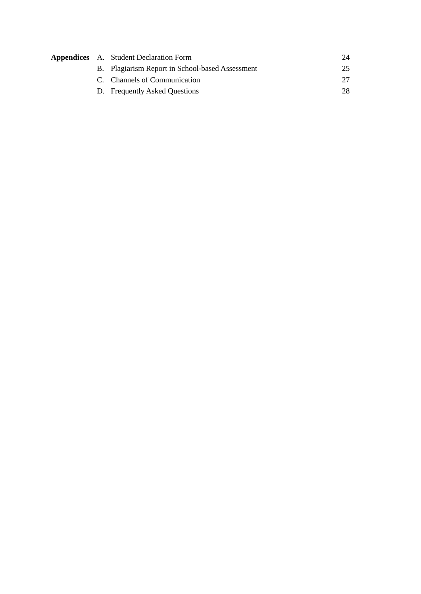|  | <b>Appendices</b> A. Student Declaration Form   |    |
|--|-------------------------------------------------|----|
|  | B. Plagiarism Report in School-based Assessment | 25 |
|  | C. Channels of Communication                    |    |
|  | D. Frequently Asked Questions                   |    |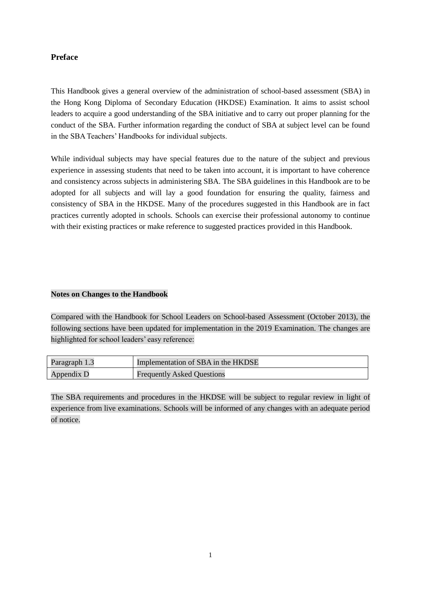# **Preface**

This Handbook gives a general overview of the administration of school-based assessment (SBA) in the Hong Kong Diploma of Secondary Education (HKDSE) Examination. It aims to assist school leaders to acquire a good understanding of the SBA initiative and to carry out proper planning for the conduct of the SBA. Further information regarding the conduct of SBA at subject level can be found in the SBA Teachers' Handbooks for individual subjects.

While individual subjects may have special features due to the nature of the subject and previous experience in assessing students that need to be taken into account, it is important to have coherence and consistency across subjects in administering SBA. The SBA guidelines in this Handbook are to be adopted for all subjects and will lay a good foundation for ensuring the quality, fairness and consistency of SBA in the HKDSE. Many of the procedures suggested in this Handbook are in fact practices currently adopted in schools. Schools can exercise their professional autonomy to continue with their existing practices or make reference to suggested practices provided in this Handbook.

# **Notes on Changes to the Handbook**

Compared with the Handbook for School Leaders on School-based Assessment (October 2013), the following sections have been updated for implementation in the 2019 Examination. The changes are highlighted for school leaders' easy reference:

| Paragraph 1.3 | Implementation of SBA in the HKDSE |
|---------------|------------------------------------|
| Appendix D    | <b>Frequently Asked Questions</b>  |

The SBA requirements and procedures in the HKDSE will be subject to regular review in light of experience from live examinations. Schools will be informed of any changes with an adequate period of notice.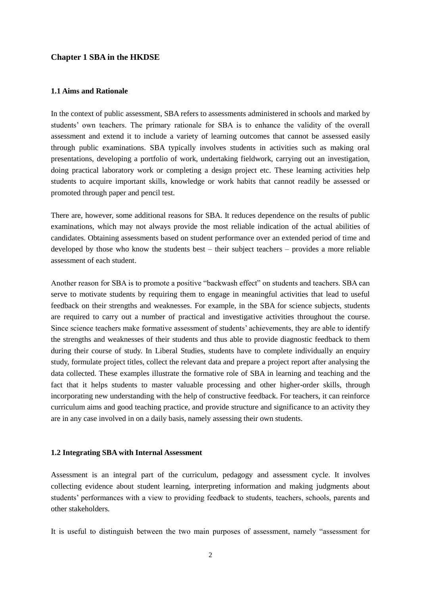### **Chapter 1 SBA in the HKDSE**

#### **1.1 Aims and Rationale**

In the context of public assessment, SBA refers to assessments administered in schools and marked by students' own teachers. The primary rationale for SBA is to enhance the validity of the overall assessment and extend it to include a variety of learning outcomes that cannot be assessed easily through public examinations. SBA typically involves students in activities such as making oral presentations, developing a portfolio of work, undertaking fieldwork, carrying out an investigation, doing practical laboratory work or completing a design project etc. These learning activities help students to acquire important skills, knowledge or work habits that cannot readily be assessed or promoted through paper and pencil test.

There are, however, some additional reasons for SBA. It reduces dependence on the results of public examinations, which may not always provide the most reliable indication of the actual abilities of candidates. Obtaining assessments based on student performance over an extended period of time and developed by those who know the students best – their subject teachers – provides a more reliable assessment of each student.

Another reason for SBA is to promote a positive "backwash effect" on students and teachers. SBA can serve to motivate students by requiring them to engage in meaningful activities that lead to useful feedback on their strengths and weaknesses. For example, in the SBA for science subjects, students are required to carry out a number of practical and investigative activities throughout the course. Since science teachers make formative assessment of students' achievements, they are able to identify the strengths and weaknesses of their students and thus able to provide diagnostic feedback to them during their course of study. In Liberal Studies, students have to complete individually an enquiry study, formulate project titles, collect the relevant data and prepare a project report after analysing the data collected. These examples illustrate the formative role of SBA in learning and teaching and the fact that it helps students to master valuable processing and other higher-order skills, through incorporating new understanding with the help of constructive feedback. For teachers, it can reinforce curriculum aims and good teaching practice, and provide structure and significance to an activity they are in any case involved in on a daily basis, namely assessing their own students.

## **1.2 Integrating SBA with Internal Assessment**

Assessment is an integral part of the curriculum, pedagogy and assessment cycle. It involves collecting evidence about student learning, interpreting information and making judgments about students' performances with a view to providing feedback to students, teachers, schools, parents and other stakeholders.

It is useful to distinguish between the two main purposes of assessment, namely "assessment for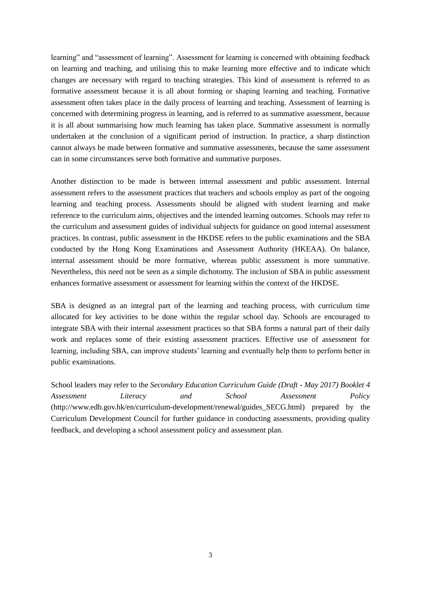learning" and "assessment of learning". Assessment for learning is concerned with obtaining feedback on learning and teaching, and utilising this to make learning more effective and to indicate which changes are necessary with regard to teaching strategies. This kind of assessment is referred to as formative assessment because it is all about forming or shaping learning and teaching. Formative assessment often takes place in the daily process of learning and teaching. Assessment of learning is concerned with determining progress in learning, and is referred to as summative assessment, because it is all about summarising how much learning has taken place. Summative assessment is normally undertaken at the conclusion of a significant period of instruction. In practice, a sharp distinction cannot always be made between formative and summative assessments, because the same assessment can in some circumstances serve both formative and summative purposes.

Another distinction to be made is between internal assessment and public assessment. Internal assessment refers to the assessment practices that teachers and schools employ as part of the ongoing learning and teaching process. Assessments should be aligned with student learning and make reference to the curriculum aims, objectives and the intended learning outcomes. Schools may refer to the curriculum and assessment guides of individual subjects for guidance on good internal assessment practices. In contrast, public assessment in the HKDSE refers to the public examinations and the SBA conducted by the Hong Kong Examinations and Assessment Authority (HKEAA). On balance, internal assessment should be more formative, whereas public assessment is more summative. Nevertheless, this need not be seen as a simple dichotomy. The inclusion of SBA in public assessment enhances formative assessment or assessment for learning within the context of the HKDSE.

SBA is designed as an integral part of the learning and teaching process, with curriculum time allocated for key activities to be done within the regular school day. Schools are encouraged to integrate SBA with their internal assessment practices so that SBA forms a natural part of their daily work and replaces some of their existing assessment practices. Effective use of assessment for learning, including SBA, can improve students' learning and eventually help them to perform better in public examinations.

School leaders may refer to the *Secondary Education Curriculum Guide (Draft - May 2017) Booklet 4 Assessment Literacy and School Assessment Policy* (http://www.edb.gov.hk/en/curriculum-development/renewal/guides\_SECG.html) prepared by the Curriculum Development Council for further guidance in conducting assessments, providing quality feedback, and developing a school assessment policy and assessment plan.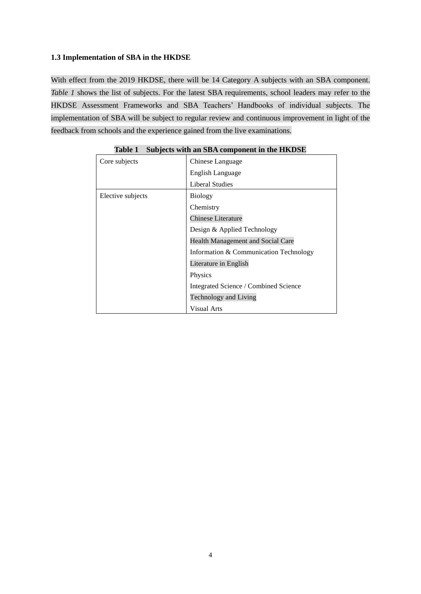# **1.3 Implementation of SBA in the HKDSE**

With effect from the 2019 HKDSE, there will be 14 Category A subjects with an SBA component. *Table 1* shows the list of subjects. For the latest SBA requirements, school leaders may refer to the HKDSE Assessment Frameworks and SBA Teachers' Handbooks of individual subjects. The implementation of SBA will be subject to regular review and continuous improvement in light of the feedback from schools and the experience gained from the live examinations.

| Core subjects     | Chinese Language                       |  |
|-------------------|----------------------------------------|--|
|                   | <b>English Language</b>                |  |
|                   | Liberal Studies                        |  |
| Elective subjects | <b>Biology</b>                         |  |
|                   | Chemistry                              |  |
|                   | <b>Chinese Literature</b>              |  |
|                   | Design & Applied Technology            |  |
|                   | Health Management and Social Care      |  |
|                   | Information & Communication Technology |  |
|                   | Literature in English                  |  |
|                   | Physics                                |  |
|                   | Integrated Science / Combined Science  |  |
|                   | Technology and Living                  |  |
|                   | <b>Visual Arts</b>                     |  |

**Table 1 Subjects with an SBA component in the HKDSE**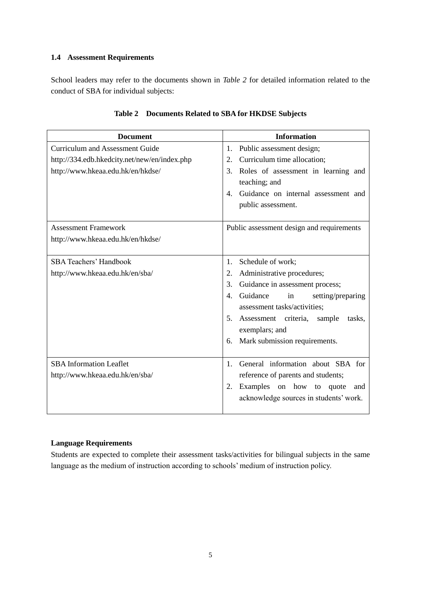# **1.4 Assessment Requirements**

School leaders may refer to the documents shown in *Table 2* for detailed information related to the conduct of SBA for individual subjects:

| <b>Document</b>                                                                                                             | <b>Information</b>                                                                                                                                                                                                                                                                     |
|-----------------------------------------------------------------------------------------------------------------------------|----------------------------------------------------------------------------------------------------------------------------------------------------------------------------------------------------------------------------------------------------------------------------------------|
| <b>Curriculum and Assessment Guide</b><br>http://334.edb.hkedcity.net/new/en/index.php<br>http://www.hkeaa.edu.hk/en/hkdse/ | Public assessment design;<br>1.<br>Curriculum time allocation;<br>2.<br>Roles of assessment in learning and<br>3.<br>teaching; and<br>Guidance on internal assessment and<br>$\mathbf{4}$ .<br>public assessment.                                                                      |
| <b>Assessment Framework</b><br>http://www.hkeaa.edu.hk/en/hkdse/                                                            | Public assessment design and requirements                                                                                                                                                                                                                                              |
| <b>SBA Teachers' Handbook</b><br>http://www.hkeaa.edu.hk/en/sba/                                                            | Schedule of work;<br>1.<br>Administrative procedures;<br>2.<br>3.<br>Guidance in assessment process;<br>Guidance<br>4.<br>in<br>setting/preparing<br>assessment tasks/activities;<br>5. Assessment criteria, sample<br>tasks,<br>exemplars; and<br>Mark submission requirements.<br>6. |
| <b>SBA</b> Information Leaflet<br>http://www.hkeaa.edu.hk/en/sba/                                                           | General information about SBA for<br>$\mathbf{1}$ .<br>reference of parents and students;<br>Examples on how to quote<br>2.<br>and<br>acknowledge sources in students' work.                                                                                                           |

# **Table 2 Documents Related to SBA for HKDSE Subjects**

# **Language Requirements**

Students are expected to complete their assessment tasks/activities for bilingual subjects in the same language as the medium of instruction according to schools' medium of instruction policy.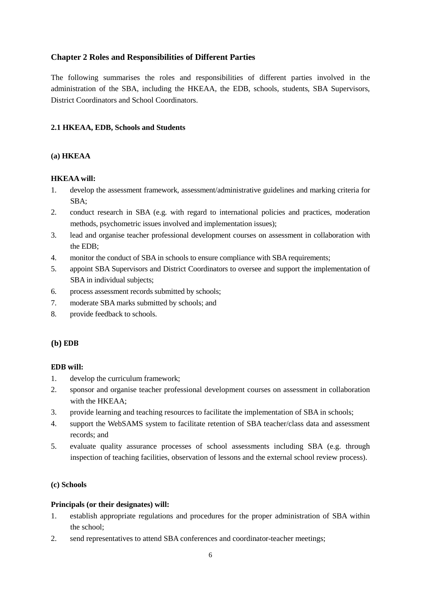# **Chapter 2 Roles and Responsibilities of Different Parties**

The following summarises the roles and responsibilities of different parties involved in the administration of the SBA, including the HKEAA, the EDB, schools, students, SBA Supervisors, District Coordinators and School Coordinators.

# **2.1 HKEAA, EDB, Schools and Students**

# **(a) HKEAA**

# **HKEAA will:**

- 1. develop the assessment framework, assessment/administrative guidelines and marking criteria for SBA;
- 2. conduct research in SBA (e.g. with regard to international policies and practices, moderation methods, psychometric issues involved and implementation issues);
- 3. lead and organise teacher professional development courses on assessment in collaboration with the EDB;
- 4. monitor the conduct of SBA in schools to ensure compliance with SBA requirements;
- 5. appoint SBA Supervisors and District Coordinators to oversee and support the implementation of SBA in individual subjects;
- 6. process assessment records submitted by schools;
- 7. moderate SBA marks submitted by schools; and
- 8. provide feedback to schools.

# **(b) EDB**

# **EDB will:**

- 1. develop the curriculum framework;
- 2. sponsor and organise teacher professional development courses on assessment in collaboration with the HKEAA;
- 3. provide learning and teaching resources to facilitate the implementation of SBA in schools;
- 4. support the WebSAMS system to facilitate retention of SBA teacher/class data and assessment records; and
- 5. evaluate quality assurance processes of school assessments including SBA (e.g. through inspection of teaching facilities, observation of lessons and the external school review process).

## **(c) Schools**

# **Principals (or their designates) will:**

- 1. establish appropriate regulations and procedures for the proper administration of SBA within the school;
- 2. send representatives to attend SBA conferences and coordinator-teacher meetings;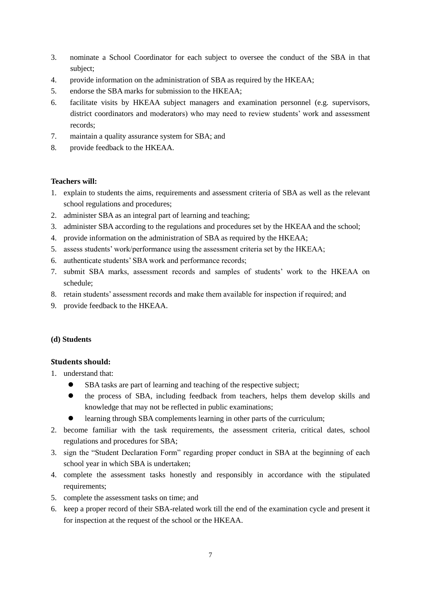- 3. nominate a School Coordinator for each subject to oversee the conduct of the SBA in that subject;
- 4. provide information on the administration of SBA as required by the HKEAA;
- 5. endorse the SBA marks for submission to the HKEAA;
- 6. facilitate visits by HKEAA subject managers and examination personnel (e.g. supervisors, district coordinators and moderators) who may need to review students' work and assessment records;
- 7. maintain a quality assurance system for SBA; and
- 8. provide feedback to the HKEAA.

# **Teachers will:**

- 1. explain to students the aims, requirements and assessment criteria of SBA as well as the relevant school regulations and procedures;
- 2. administer SBA as an integral part of learning and teaching;
- 3. administer SBA according to the regulations and procedures set by the HKEAA and the school;
- 4. provide information on the administration of SBA as required by the HKEAA;
- 5. assess students' work/performance using the assessment criteria set by the HKEAA;
- 6. authenticate students' SBA work and performance records;
- 7. submit SBA marks, assessment records and samples of students' work to the HKEAA on schedule;
- 8. retain students' assessment records and make them available for inspection if required; and
- 9. provide feedback to the HKEAA.

## **(d) Students**

## **Students should:**

- 1. understand that:
	- SBA tasks are part of learning and teaching of the respective subject;
	- the process of SBA, including feedback from teachers, helps them develop skills and knowledge that may not be reflected in public examinations;
	- learning through SBA complements learning in other parts of the curriculum;
- 2. become familiar with the task requirements, the assessment criteria, critical dates, school regulations and procedures for SBA;
- 3. sign the "Student Declaration Form" regarding proper conduct in SBA at the beginning of each school year in which SBA is undertaken;
- 4. complete the assessment tasks honestly and responsibly in accordance with the stipulated requirements:
- 5. complete the assessment tasks on time; and
- 6. keep a proper record of their SBA-related work till the end of the examination cycle and present it for inspection at the request of the school or the HKEAA.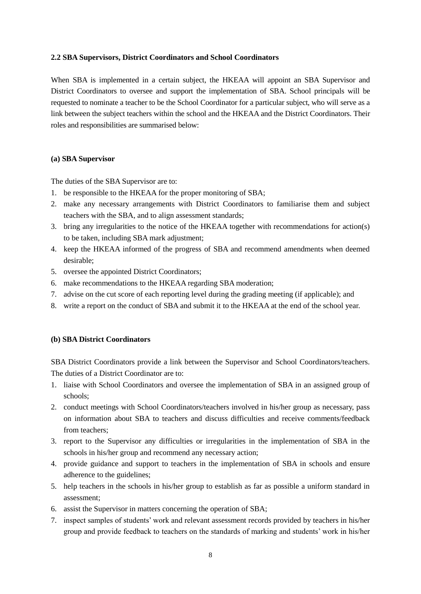# **2.2 SBA Supervisors, District Coordinators and School Coordinators**

When SBA is implemented in a certain subject, the HKEAA will appoint an SBA Supervisor and District Coordinators to oversee and support the implementation of SBA. School principals will be requested to nominate a teacher to be the School Coordinator for a particular subject, who will serve as a link between the subject teachers within the school and the HKEAA and the District Coordinators. Their roles and responsibilities are summarised below:

# **(a) SBA Supervisor**

The duties of the SBA Supervisor are to:

- 1. be responsible to the HKEAA for the proper monitoring of SBA;
- 2. make any necessary arrangements with District Coordinators to familiarise them and subject teachers with the SBA, and to align assessment standards;
- 3. bring any irregularities to the notice of the HKEAA together with recommendations for action(s) to be taken, including SBA mark adjustment;
- 4. keep the HKEAA informed of the progress of SBA and recommend amendments when deemed desirable;
- 5. oversee the appointed District Coordinators;
- 6. make recommendations to the HKEAA regarding SBA moderation;
- 7. advise on the cut score of each reporting level during the grading meeting (if applicable); and
- 8. write a report on the conduct of SBA and submit it to the HKEAA at the end of the school year.

## **(b) SBA District Coordinators**

SBA District Coordinators provide a link between the Supervisor and School Coordinators/teachers. The duties of a District Coordinator are to:

- 1. liaise with School Coordinators and oversee the implementation of SBA in an assigned group of schools;
- 2. conduct meetings with School Coordinators/teachers involved in his/her group as necessary, pass on information about SBA to teachers and discuss difficulties and receive comments/feedback from teachers;
- 3. report to the Supervisor any difficulties or irregularities in the implementation of SBA in the schools in his/her group and recommend any necessary action;
- 4. provide guidance and support to teachers in the implementation of SBA in schools and ensure adherence to the guidelines;
- 5. help teachers in the schools in his/her group to establish as far as possible a uniform standard in assessment;
- 6. assist the Supervisor in matters concerning the operation of SBA;
- 7. inspect samples of students' work and relevant assessment records provided by teachers in his/her group and provide feedback to teachers on the standards of marking and students' work in his/her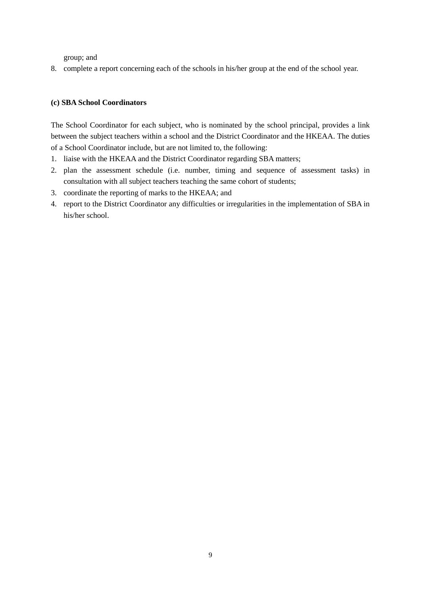group; and

8. complete a report concerning each of the schools in his/her group at the end of the school year.

# **(c) SBA School Coordinators**

The School Coordinator for each subject, who is nominated by the school principal, provides a link between the subject teachers within a school and the District Coordinator and the HKEAA. The duties of a School Coordinator include, but are not limited to, the following:

- 1. liaise with the HKEAA and the District Coordinator regarding SBA matters;
- 2. plan the assessment schedule (i.e. number, timing and sequence of assessment tasks) in consultation with all subject teachers teaching the same cohort of students;
- 3. coordinate the reporting of marks to the HKEAA; and
- 4. report to the District Coordinator any difficulties or irregularities in the implementation of SBA in his/her school.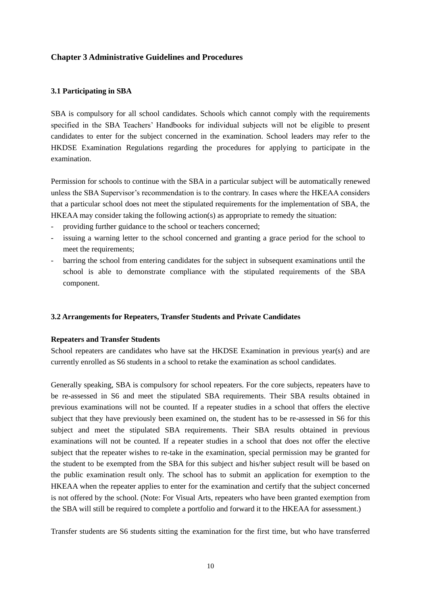# **Chapter 3 Administrative Guidelines and Procedures**

## **3.1 Participating in SBA**

SBA is compulsory for all school candidates. Schools which cannot comply with the requirements specified in the SBA Teachers' Handbooks for individual subjects will not be eligible to present candidates to enter for the subject concerned in the examination. School leaders may refer to the HKDSE Examination Regulations regarding the procedures for applying to participate in the examination.

Permission for schools to continue with the SBA in a particular subject will be automatically renewed unless the SBA Supervisor's recommendation is to the contrary. In cases where the HKEAA considers that a particular school does not meet the stipulated requirements for the implementation of SBA, the HKEAA may consider taking the following action(s) as appropriate to remedy the situation:

- providing further guidance to the school or teachers concerned;
- issuing a warning letter to the school concerned and granting a grace period for the school to meet the requirements;
- barring the school from entering candidates for the subject in subsequent examinations until the school is able to demonstrate compliance with the stipulated requirements of the SBA component.

## **3.2 Arrangements for Repeaters, Transfer Students and Private Candidates**

## **Repeaters and Transfer Students**

School repeaters are candidates who have sat the HKDSE Examination in previous year(s) and are currently enrolled as S6 students in a school to retake the examination as school candidates.

Generally speaking, SBA is compulsory for school repeaters. For the core subjects, repeaters have to be re-assessed in S6 and meet the stipulated SBA requirements. Their SBA results obtained in previous examinations will not be counted. If a repeater studies in a school that offers the elective subject that they have previously been examined on, the student has to be re-assessed in S6 for this subject and meet the stipulated SBA requirements. Their SBA results obtained in previous examinations will not be counted. If a repeater studies in a school that does not offer the elective subject that the repeater wishes to re-take in the examination, special permission may be granted for the student to be exempted from the SBA for this subject and his/her subject result will be based on the public examination result only. The school has to submit an application for exemption to the HKEAA when the repeater applies to enter for the examination and certify that the subject concerned is not offered by the school. (Note: For Visual Arts, repeaters who have been granted exemption from the SBA will still be required to complete a portfolio and forward it to the HKEAA for assessment.)

Transfer students are S6 students sitting the examination for the first time, but who have transferred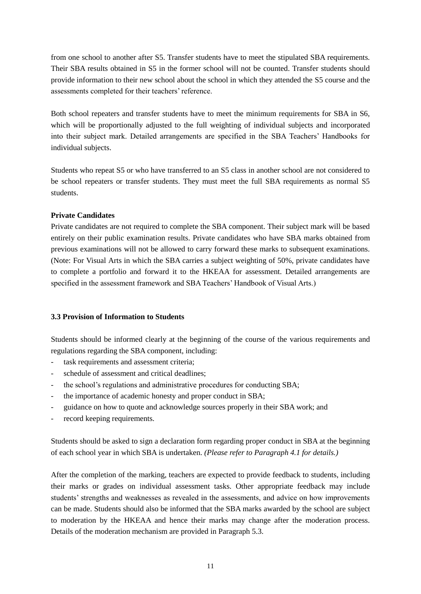from one school to another after S5. Transfer students have to meet the stipulated SBA requirements. Their SBA results obtained in S5 in the former school will not be counted. Transfer students should provide information to their new school about the school in which they attended the S5 course and the assessments completed for their teachers' reference.

Both school repeaters and transfer students have to meet the minimum requirements for SBA in S6, which will be proportionally adjusted to the full weighting of individual subjects and incorporated into their subject mark. Detailed arrangements are specified in the SBA Teachers' Handbooks for individual subjects.

Students who repeat S5 or who have transferred to an S5 class in another school are not considered to be school repeaters or transfer students. They must meet the full SBA requirements as normal S5 students.

# **Private Candidates**

Private candidates are not required to complete the SBA component. Their subject mark will be based entirely on their public examination results. Private candidates who have SBA marks obtained from previous examinations will not be allowed to carry forward these marks to subsequent examinations. (Note: For Visual Arts in which the SBA carries a subject weighting of 50%, private candidates have to complete a portfolio and forward it to the HKEAA for assessment. Detailed arrangements are specified in the assessment framework and SBA Teachers' Handbook of Visual Arts.)

# **3.3 Provision of Information to Students**

Students should be informed clearly at the beginning of the course of the various requirements and regulations regarding the SBA component, including:

- task requirements and assessment criteria;
- schedule of assessment and critical deadlines;
- the school's regulations and administrative procedures for conducting SBA;
- the importance of academic honesty and proper conduct in SBA;
- guidance on how to quote and acknowledge sources properly in their SBA work; and
- record keeping requirements.

Students should be asked to sign a declaration form regarding proper conduct in SBA at the beginning of each school year in which SBA is undertaken. *(Please refer to Paragraph 4.1 for details.)*

After the completion of the marking, teachers are expected to provide feedback to students, including their marks or grades on individual assessment tasks. Other appropriate feedback may include students' strengths and weaknesses as revealed in the assessments, and advice on how improvements can be made. Students should also be informed that the SBA marks awarded by the school are subject to moderation by the HKEAA and hence their marks may change after the moderation process. Details of the moderation mechanism are provided in Paragraph 5.3.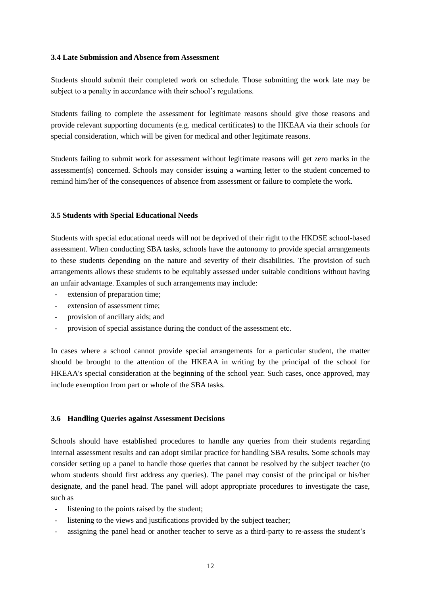## **3.4 Late Submission and Absence from Assessment**

Students should submit their completed work on schedule. Those submitting the work late may be subject to a penalty in accordance with their school's regulations.

Students failing to complete the assessment for legitimate reasons should give those reasons and provide relevant supporting documents (e.g. medical certificates) to the HKEAA via their schools for special consideration, which will be given for medical and other legitimate reasons.

Students failing to submit work for assessment without legitimate reasons will get zero marks in the assessment(s) concerned. Schools may consider issuing a warning letter to the student concerned to remind him/her of the consequences of absence from assessment or failure to complete the work.

#### **3.5 Students with Special Educational Needs**

Students with special educational needs will not be deprived of their right to the HKDSE school-based assessment. When conducting SBA tasks, schools have the autonomy to provide special arrangements to these students depending on the nature and severity of their disabilities. The provision of such arrangements allows these students to be equitably assessed under suitable conditions without having an unfair advantage. Examples of such arrangements may include:

- extension of preparation time:
- extension of assessment time;
- provision of ancillary aids; and
- provision of special assistance during the conduct of the assessment etc.

In cases where a school cannot provide special arrangements for a particular student, the matter should be brought to the attention of the HKEAA in writing by the principal of the school for HKEAA's special consideration at the beginning of the school year. Such cases, once approved, may include exemption from part or whole of the SBA tasks.

#### **3.6 Handling Queries against Assessment Decisions**

Schools should have established procedures to handle any queries from their students regarding internal assessment results and can adopt similar practice for handling SBA results. Some schools may consider setting up a panel to handle those queries that cannot be resolved by the subject teacher (to whom students should first address any queries). The panel may consist of the principal or his/her designate, and the panel head. The panel will adopt appropriate procedures to investigate the case, such as

- listening to the points raised by the student;
- listening to the views and justifications provided by the subject teacher;
- assigning the panel head or another teacher to serve as a third-party to re-assess the student's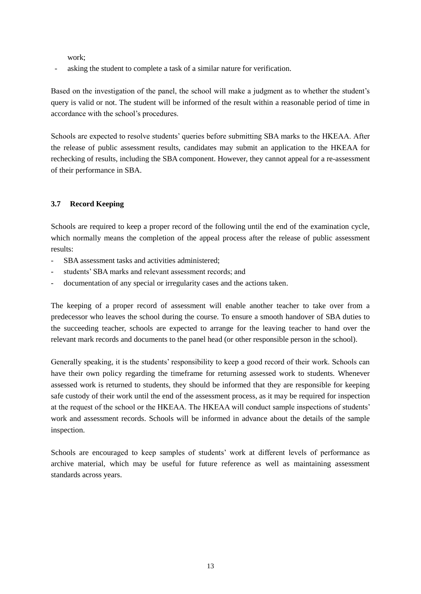work;

asking the student to complete a task of a similar nature for verification.

Based on the investigation of the panel, the school will make a judgment as to whether the student's query is valid or not. The student will be informed of the result within a reasonable period of time in accordance with the school's procedures.

Schools are expected to resolve students' queries before submitting SBA marks to the HKEAA. After the release of public assessment results, candidates may submit an application to the HKEAA for rechecking of results, including the SBA component. However, they cannot appeal for a re-assessment of their performance in SBA.

# **3.7 Record Keeping**

Schools are required to keep a proper record of the following until the end of the examination cycle, which normally means the completion of the appeal process after the release of public assessment results:

- SBA assessment tasks and activities administered;
- students' SBA marks and relevant assessment records; and
- documentation of any special or irregularity cases and the actions taken.

The keeping of a proper record of assessment will enable another teacher to take over from a predecessor who leaves the school during the course. To ensure a smooth handover of SBA duties to the succeeding teacher, schools are expected to arrange for the leaving teacher to hand over the relevant mark records and documents to the panel head (or other responsible person in the school).

Generally speaking, it is the students' responsibility to keep a good record of their work. Schools can have their own policy regarding the timeframe for returning assessed work to students. Whenever assessed work is returned to students, they should be informed that they are responsible for keeping safe custody of their work until the end of the assessment process, as it may be required for inspection at the request of the school or the HKEAA. The HKEAA will conduct sample inspections of students' work and assessment records. Schools will be informed in advance about the details of the sample inspection.

Schools are encouraged to keep samples of students' work at different levels of performance as archive material, which may be useful for future reference as well as maintaining assessment standards across years.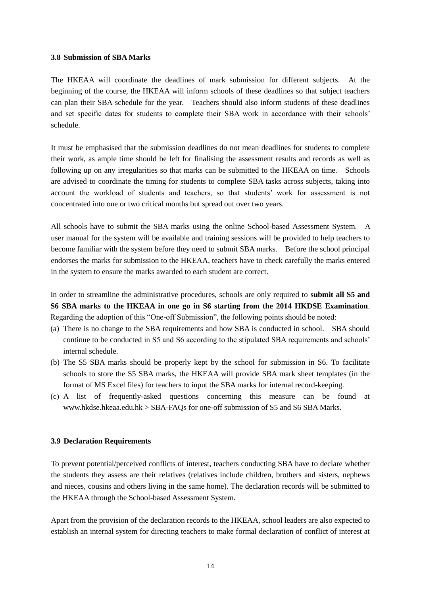## **3.8 Submission of SBA Marks**

The HKEAA will coordinate the deadlines of mark submission for different subjects. At the beginning of the course, the HKEAA will inform schools of these deadlines so that subject teachers can plan their SBA schedule for the year. Teachers should also inform students of these deadlines and set specific dates for students to complete their SBA work in accordance with their schools' schedule.

It must be emphasised that the submission deadlines do not mean deadlines for students to complete their work, as ample time should be left for finalising the assessment results and records as well as following up on any irregularities so that marks can be submitted to the HKEAA on time. Schools are advised to coordinate the timing for students to complete SBA tasks across subjects, taking into account the workload of students and teachers, so that students' work for assessment is not concentrated into one or two critical months but spread out over two years.

All schools have to submit the SBA marks using the online School-based Assessment System. A user manual for the system will be available and training sessions will be provided to help teachers to become familiar with the system before they need to submit SBA marks. Before the school principal endorses the marks for submission to the HKEAA, teachers have to check carefully the marks entered in the system to ensure the marks awarded to each student are correct.

In order to streamline the administrative procedures, schools are only required to **submit all S5 and S6 SBA marks to the HKEAA in one go in S6 starting from the 2014 HKDSE Examination**. Regarding the adoption of this "One-off Submission", the following points should be noted:

- (a) There is no change to the SBA requirements and how SBA is conducted in school. SBA should continue to be conducted in S5 and S6 according to the stipulated SBA requirements and schools' internal schedule.
- (b) The S5 SBA marks should be properly kept by the school for submission in S6. To facilitate schools to store the S5 SBA marks, the HKEAA will provide SBA mark sheet templates (in the format of MS Excel files) for teachers to input the SBA marks for internal record-keeping.
- (c) A list of frequently-asked questions concerning this measure can be found at [www.hkdse.hkeaa.edu.hk](http://www.hkdse.hkeaa.edu.hk/) > SBA-FAQs for one-off submission of S5 and S6 SBA Marks.

#### **3.9 Declaration Requirements**

To prevent potential/perceived conflicts of interest, teachers conducting SBA have to declare whether the students they assess are their relatives (relatives include children, brothers and sisters, nephews and nieces, cousins and others living in the same home). The declaration records will be submitted to the HKEAA through the School-based Assessment System.

Apart from the provision of the declaration records to the HKEAA, school leaders are also expected to establish an internal system for directing teachers to make formal declaration of conflict of interest at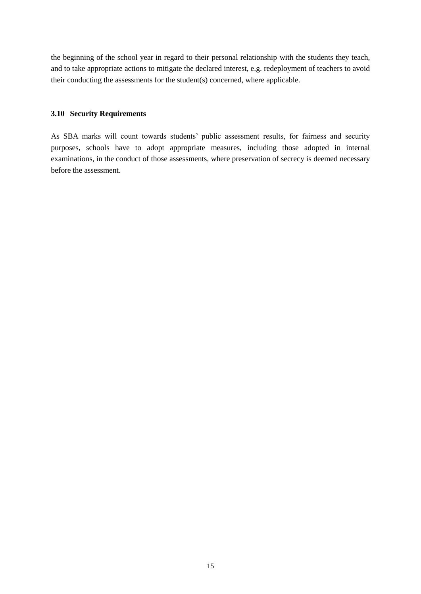the beginning of the school year in regard to their personal relationship with the students they teach, and to take appropriate actions to mitigate the declared interest, e.g. redeployment of teachers to avoid their conducting the assessments for the student(s) concerned, where applicable.

# **3.10 Security Requirements**

As SBA marks will count towards students' public assessment results, for fairness and security purposes, schools have to adopt appropriate measures, including those adopted in internal examinations, in the conduct of those assessments, where preservation of secrecy is deemed necessary before the assessment.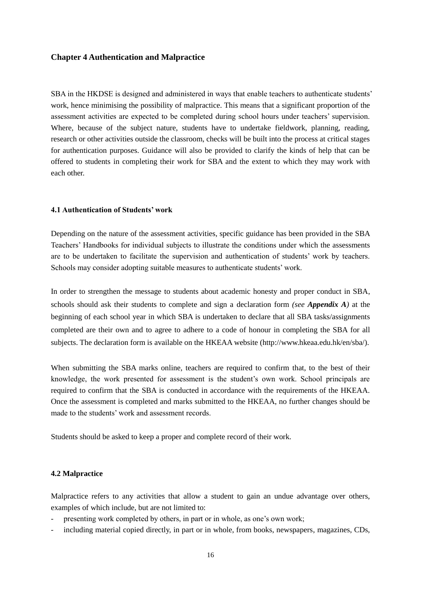## **Chapter 4 Authentication and Malpractice**

SBA in the HKDSE is designed and administered in ways that enable teachers to authenticate students' work, hence minimising the possibility of malpractice. This means that a significant proportion of the assessment activities are expected to be completed during school hours under teachers' supervision. Where, because of the subject nature, students have to undertake fieldwork, planning, reading, research or other activities outside the classroom, checks will be built into the process at critical stages for authentication purposes. Guidance will also be provided to clarify the kinds of help that can be offered to students in completing their work for SBA and the extent to which they may work with each other.

#### **4.1 Authentication of Students' work**

Depending on the nature of the assessment activities, specific guidance has been provided in the SBA Teachers' Handbooks for individual subjects to illustrate the conditions under which the assessments are to be undertaken to facilitate the supervision and authentication of students' work by teachers. Schools may consider adopting suitable measures to authenticate students' work.

In order to strengthen the message to students about academic honesty and proper conduct in SBA, schools should ask their students to complete and sign a declaration form *(see Appendix A)* at the beginning of each school year in which SBA is undertaken to declare that all SBA tasks/assignments completed are their own and to agree to adhere to a code of honour in completing the SBA for all subjects. The declaration form is available on the HKEAA website (http://www.hkeaa.edu.hk/en/sba/).

When submitting the SBA marks online, teachers are required to confirm that, to the best of their knowledge, the work presented for assessment is the student's own work. School principals are required to confirm that the SBA is conducted in accordance with the requirements of the HKEAA. Once the assessment is completed and marks submitted to the HKEAA, no further changes should be made to the students' work and assessment records.

Students should be asked to keep a proper and complete record of their work.

#### **4.2 Malpractice**

Malpractice refers to any activities that allow a student to gain an undue advantage over others, examples of which include, but are not limited to:

- presenting work completed by others, in part or in whole, as one's own work;
- including material copied directly, in part or in whole, from books, newspapers, magazines, CDs,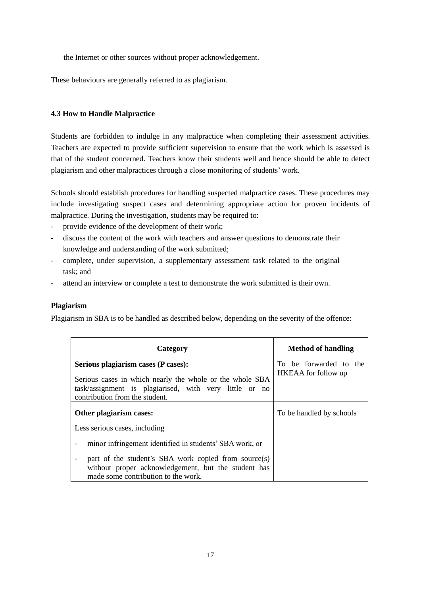the Internet or other sources without proper acknowledgement.

These behaviours are generally referred to as plagiarism.

# **4.3 How to Handle Malpractice**

Students are forbidden to indulge in any malpractice when completing their assessment activities. Teachers are expected to provide sufficient supervision to ensure that the work which is assessed is that of the student concerned. Teachers know their students well and hence should be able to detect plagiarism and other malpractices through a close monitoring of students' work.

Schools should establish procedures for handling suspected malpractice cases. These procedures may include investigating suspect cases and determining appropriate action for proven incidents of malpractice. During the investigation, students may be required to:

- provide evidence of the development of their work;
- discuss the content of the work with teachers and answer questions to demonstrate their knowledge and understanding of the work submitted;
- complete, under supervision, a supplementary assessment task related to the original task; and
- attend an interview or complete a test to demonstrate the work submitted is their own.

# **Plagiarism**

Plagiarism in SBA is to be handled as described below, depending on the severity of the offence:

| Category                                                                                                                                                                                    | <b>Method of handling</b>                            |
|---------------------------------------------------------------------------------------------------------------------------------------------------------------------------------------------|------------------------------------------------------|
| Serious plagiarism cases (P cases):<br>Serious cases in which nearly the whole or the whole SBA<br>task/assignment is plagiarised, with very little or no<br>contribution from the student. | To be forwarded to the<br><b>HKEAA</b> for follow up |
| Other plagiarism cases:                                                                                                                                                                     | To be handled by schools                             |
| Less serious cases, including                                                                                                                                                               |                                                      |
| minor infringement identified in students' SBA work, or<br>$\overline{\phantom{a}}$                                                                                                         |                                                      |
| part of the student's SBA work copied from source(s)<br>$\overline{\phantom{a}}$<br>without proper acknowledgement, but the student has<br>made some contribution to the work.              |                                                      |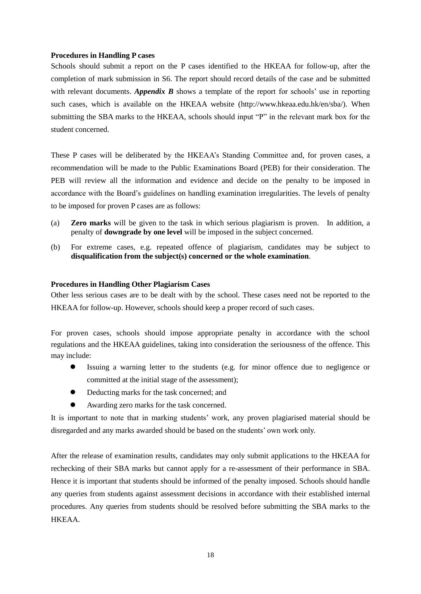## **Procedures in Handling P cases**

Schools should submit a report on the P cases identified to the HKEAA for follow-up, after the completion of mark submission in S6. The report should record details of the case and be submitted with relevant documents. *Appendix B* shows a template of the report for schools' use in reporting such cases, which is available on the HKEAA website (http://www.hkeaa.edu.hk/en/sba/). When submitting the SBA marks to the HKEAA, schools should input "P" in the relevant mark box for the student concerned.

These P cases will be deliberated by the HKEAA's Standing Committee and, for proven cases, a recommendation will be made to the Public Examinations Board (PEB) for their consideration. The PEB will review all the information and evidence and decide on the penalty to be imposed in accordance with the Board's guidelines on handling examination irregularities. The levels of penalty to be imposed for proven P cases are as follows:

- (a) **Zero marks** will be given to the task in which serious plagiarism is proven. In addition, a penalty of **downgrade by one level** will be imposed in the subject concerned.
- (b) For extreme cases, e.g. repeated offence of plagiarism, candidates may be subject to **disqualification from the subject(s) concerned or the whole examination**.

# **Procedures in Handling Other Plagiarism Cases**

Other less serious cases are to be dealt with by the school. These cases need not be reported to the HKEAA for follow-up. However, schools should keep a proper record of such cases.

For proven cases, schools should impose appropriate penalty in accordance with the school regulations and the HKEAA guidelines, taking into consideration the seriousness of the offence. This may include:

- Issuing a warning letter to the students (e.g. for minor offence due to negligence or committed at the initial stage of the assessment);
- Deducting marks for the task concerned; and
- Awarding zero marks for the task concerned.

It is important to note that in marking students' work, any proven plagiarised material should be disregarded and any marks awarded should be based on the students' own work only.

After the release of examination results, candidates may only submit applications to the HKEAA for rechecking of their SBA marks but cannot apply for a re-assessment of their performance in SBA. Hence it is important that students should be informed of the penalty imposed. Schools should handle any queries from students against assessment decisions in accordance with their established internal procedures. Any queries from students should be resolved before submitting the SBA marks to the HKEAA.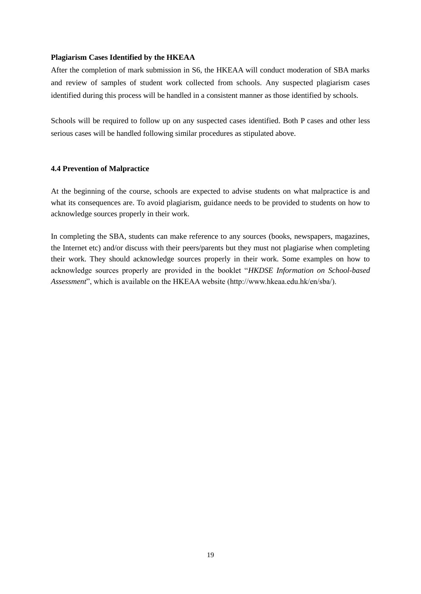## **Plagiarism Cases Identified by the HKEAA**

After the completion of mark submission in S6, the HKEAA will conduct moderation of SBA marks and review of samples of student work collected from schools. Any suspected plagiarism cases identified during this process will be handled in a consistent manner as those identified by schools.

Schools will be required to follow up on any suspected cases identified. Both P cases and other less serious cases will be handled following similar procedures as stipulated above.

## **4.4 Prevention of Malpractice**

At the beginning of the course, schools are expected to advise students on what malpractice is and what its consequences are. To avoid plagiarism, guidance needs to be provided to students on how to acknowledge sources properly in their work.

In completing the SBA, students can make reference to any sources (books, newspapers, magazines, the Internet etc) and/or discuss with their peers/parents but they must not plagiarise when completing their work. They should acknowledge sources properly in their work. Some examples on how to acknowledge sources properly are provided in the booklet "*HKDSE Information on School-based Assessment*", which is available on the HKEAA website (http://www.hkeaa.edu.hk/en/sba/).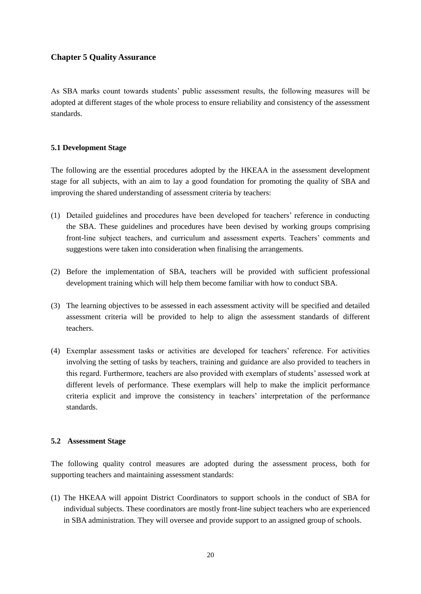# **Chapter 5 Quality Assurance**

As SBA marks count towards students' public assessment results, the following measures will be adopted at different stages of the whole process to ensure reliability and consistency of the assessment standards.

# **5.1 Development Stage**

The following are the essential procedures adopted by the HKEAA in the assessment development stage for all subjects, with an aim to lay a good foundation for promoting the quality of SBA and improving the shared understanding of assessment criteria by teachers:

- (1) Detailed guidelines and procedures have been developed for teachers' reference in conducting the SBA. These guidelines and procedures have been devised by working groups comprising front-line subject teachers, and curriculum and assessment experts. Teachers' comments and suggestions were taken into consideration when finalising the arrangements.
- (2) Before the implementation of SBA, teachers will be provided with sufficient professional development training which will help them become familiar with how to conduct SBA.
- (3) The learning objectives to be assessed in each assessment activity will be specified and detailed assessment criteria will be provided to help to align the assessment standards of different teachers.
- (4) Exemplar assessment tasks or activities are developed for teachers' reference. For activities involving the setting of tasks by teachers, training and guidance are also provided to teachers in this regard. Furthermore, teachers are also provided with exemplars of students' assessed work at different levels of performance. These exemplars will help to make the implicit performance criteria explicit and improve the consistency in teachers' interpretation of the performance standards.

## **5.2 Assessment Stage**

The following quality control measures are adopted during the assessment process, both for supporting teachers and maintaining assessment standards:

(1) The HKEAA will appoint District Coordinators to support schools in the conduct of SBA for individual subjects. These coordinators are mostly front-line subject teachers who are experienced in SBA administration. They will oversee and provide support to an assigned group of schools.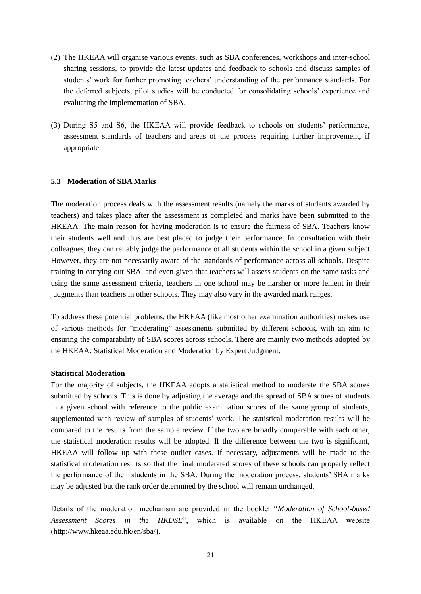- (2) The HKEAA will organise various events, such as SBA conferences, workshops and inter-school sharing sessions, to provide the latest updates and feedback to schools and discuss samples of students' work for further promoting teachers' understanding of the performance standards. For the deferred subjects, pilot studies will be conducted for consolidating schools' experience and evaluating the implementation of SBA.
- (3) During S5 and S6, the HKEAA will provide feedback to schools on students' performance, assessment standards of teachers and areas of the process requiring further improvement, if appropriate.

## **5.3 Moderation of SBA Marks**

The moderation process deals with the assessment results (namely the marks of students awarded by teachers) and takes place after the assessment is completed and marks have been submitted to the HKEAA. The main reason for having moderation is to ensure the fairness of SBA. Teachers know their students well and thus are best placed to judge their performance. In consultation with their colleagues, they can reliably judge the performance of all students within the school in a given subject. However, they are not necessarily aware of the standards of performance across all schools. Despite training in carrying out SBA, and even given that teachers will assess students on the same tasks and using the same assessment criteria, teachers in one school may be harsher or more lenient in their judgments than teachers in other schools. They may also vary in the awarded mark ranges.

To address these potential problems, the HKEAA (like most other examination authorities) makes use of various methods for "moderating" assessments submitted by different schools, with an aim to ensuring the comparability of SBA scores across schools. There are mainly two methods adopted by the HKEAA: Statistical Moderation and Moderation by Expert Judgment.

#### **Statistical Moderation**

For the majority of subjects, the HKEAA adopts a statistical method to moderate the SBA scores submitted by schools. This is done by adjusting the average and the spread of SBA scores of students in a given school with reference to the public examination scores of the same group of students, supplemented with review of samples of students' work. The statistical moderation results will be compared to the results from the sample review. If the two are broadly comparable with each other, the statistical moderation results will be adopted. If the difference between the two is significant, HKEAA will follow up with these outlier cases. If necessary, adjustments will be made to the statistical moderation results so that the final moderated scores of these schools can properly reflect the performance of their students in the SBA. During the moderation process, students' SBA marks may be adjusted but the rank order determined by the school will remain unchanged.

Details of the moderation mechanism are provided in the booklet "*Moderation of School-based Assessment Scores in the HKDSE*", which is available on the HKEAA website (http://www.hkeaa.edu.hk/en/sba/).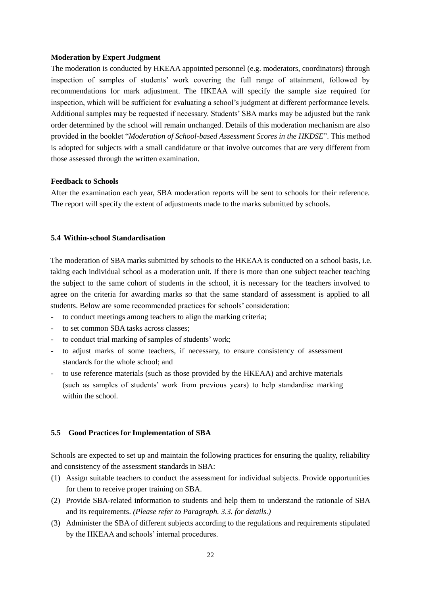#### **Moderation by Expert Judgment**

The moderation is conducted by HKEAA appointed personnel (e.g. moderators, coordinators) through inspection of samples of students' work covering the full range of attainment, followed by recommendations for mark adjustment. The HKEAA will specify the sample size required for inspection, which will be sufficient for evaluating a school's judgment at different performance levels. Additional samples may be requested if necessary. Students' SBA marks may be adjusted but the rank order determined by the school will remain unchanged. Details of this moderation mechanism are also provided in the booklet "*Moderation of School-based Assessment Scores in the HKDSE*". This method is adopted for subjects with a small candidature or that involve outcomes that are very different from those assessed through the written examination.

## **Feedback to Schools**

After the examination each year, SBA moderation reports will be sent to schools for their reference. The report will specify the extent of adjustments made to the marks submitted by schools.

## **5.4 Within-school Standardisation**

The moderation of SBA marks submitted by schools to the HKEAA is conducted on a school basis, i.e. taking each individual school as a moderation unit. If there is more than one subject teacher teaching the subject to the same cohort of students in the school, it is necessary for the teachers involved to agree on the criteria for awarding marks so that the same standard of assessment is applied to all students. Below are some recommended practices for schools' consideration:

- to conduct meetings among teachers to align the marking criteria;
- to set common SBA tasks across classes;
- to conduct trial marking of samples of students' work;
- to adjust marks of some teachers, if necessary, to ensure consistency of assessment standards for the whole school; and
- to use reference materials (such as those provided by the HKEAA) and archive materials (such as samples of students' work from previous years) to help standardise marking within the school.

#### **5.5 Good Practices for Implementation of SBA**

Schools are expected to set up and maintain the following practices for ensuring the quality, reliability and consistency of the assessment standards in SBA:

- (1) Assign suitable teachers to conduct the assessment for individual subjects. Provide opportunities for them to receive proper training on SBA.
- (2) Provide SBA-related information to students and help them to understand the rationale of SBA and its requirements. *(Please refer to Paragraph. 3.3. for details.)*
- (3) Administer the SBA of different subjects according to the regulations and requirements stipulated by the HKEAA and schools' internal procedures.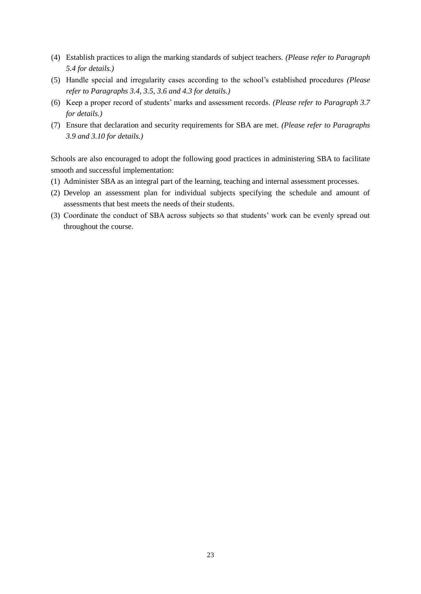- (4) Establish practices to align the marking standards of subject teachers. *(Please refer to Paragraph 5.4 for details.)*
- (5) Handle special and irregularity cases according to the school's established procedures *(Please refer to Paragraphs 3.4, 3.5, 3.6 and 4.3 for details.)*
- (6) Keep a proper record of students' marks and assessment records. *(Please refer to Paragraph 3.7 for details.)*
- (7) Ensure that declaration and security requirements for SBA are met. *(Please refer to Paragraphs 3.9 and 3.10 for details.)*

Schools are also encouraged to adopt the following good practices in administering SBA to facilitate smooth and successful implementation:

- (1) Administer SBA as an integral part of the learning, teaching and internal assessment processes.
- (2) Develop an assessment plan for individual subjects specifying the schedule and amount of assessments that best meets the needs of their students.
- (3) Coordinate the conduct of SBA across subjects so that students' work can be evenly spread out throughout the course.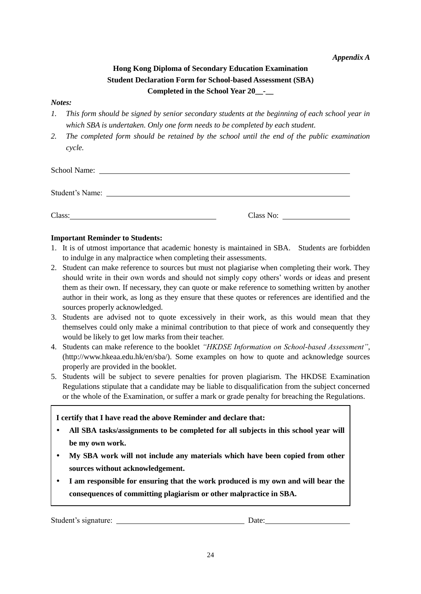*Appendix A*

# **Hong Kong Diploma of Secondary Education Examination Student Declaration Form for School-based Assessment (SBA) Completed in the School Year 20\_\_-\_\_**

## *Notes:*

- *1. This form should be signed by senior secondary students at the beginning of each school year in which SBA is undertaken. Only one form needs to be completed by each student.*
- *2. The completed form should be retained by the school until the end of the public examination cycle.*

| <b>School Name:</b> |           |
|---------------------|-----------|
| Student's Name:     |           |
| Class:              | Class No: |

# **Important Reminder to Students:**

- 1. It is of utmost importance that academic honesty is maintained in SBA. Students are forbidden to indulge in any malpractice when completing their assessments.
- 2. Student can make reference to sources but must not plagiarise when completing their work. They should write in their own words and should not simply copy others' words or ideas and present them as their own. If necessary, they can quote or make reference to something written by another author in their work, as long as they ensure that these quotes or references are identified and the sources properly acknowledged.
- 3. Students are advised not to quote excessively in their work, as this would mean that they themselves could only make a minimal contribution to that piece of work and consequently they would be likely to get low marks from their teacher.
- 4. Students can make reference to the booklet *"HKDSE Information on School-based Assessment"*, [\(http://www.hkeaa.edu.hk/en/sba/\)](http://www.hkeaa.edu.hk/en/sba/). Some examples on how to quote and acknowledge sources properly are provided in the booklet.
- 5. Students will be subject to severe penalties for proven plagiarism. The HKDSE Examination Regulations stipulate that a candidate may be liable to disqualification from the subject concerned or the whole of the Examination, or suffer a mark or grade penalty for breaching the Regulations.

# **I certify that I have read the above Reminder and declare that:**

- **All SBA tasks/assignments to be completed for all subjects in this school year will be my own work.**
- **My SBA work will not include any materials which have been copied from other sources without acknowledgement.**
- **I am responsible for ensuring that the work produced is my own and will bear the consequences of committing plagiarism or other malpractice in SBA.**

Student's signature: Date: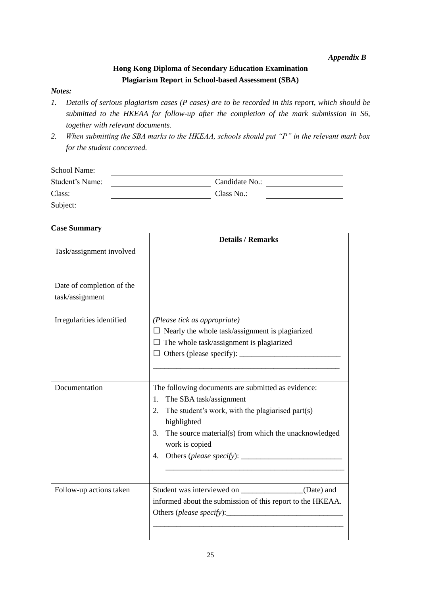# *Appendix B*

# **Hong Kong Diploma of Secondary Education Examination Plagiarism Report in School-based Assessment (SBA)**

# *Notes:*

- *1. Details of serious plagiarism cases (P cases) are to be recorded in this report, which should be submitted to the HKEAA for follow-up after the completion of the mark submission in S6, together with relevant documents.*
- *2. When submitting the SBA marks to the HKEAA, schools should put "P" in the relevant mark box for the student concerned.*

| School Name:    |                |
|-----------------|----------------|
| Student's Name: | Candidate No.: |
| Class:          | Class No.:     |
| Subject:        |                |

# **Case Summary**

|                           | <b>Details / Remarks</b>                                                                                             |
|---------------------------|----------------------------------------------------------------------------------------------------------------------|
| Task/assignment involved  |                                                                                                                      |
| Date of completion of the |                                                                                                                      |
| task/assignment           |                                                                                                                      |
| Irregularities identified | (Please tick as appropriate)                                                                                         |
|                           | $\Box$ Nearly the whole task/assignment is plagiarized                                                               |
|                           | $\Box$ The whole task/assignment is plagiarized                                                                      |
|                           |                                                                                                                      |
|                           |                                                                                                                      |
| Documentation             | The following documents are submitted as evidence:                                                                   |
|                           | The SBA task/assignment<br>1.                                                                                        |
|                           | 2.<br>The student's work, with the plagiarised part(s)<br>highlighted                                                |
|                           | 3. The source material(s) from which the unacknowledged<br>work is copied                                            |
|                           |                                                                                                                      |
| Follow-up actions taken   | Student was interviewed on _________________(Date) and<br>informed about the submission of this report to the HKEAA. |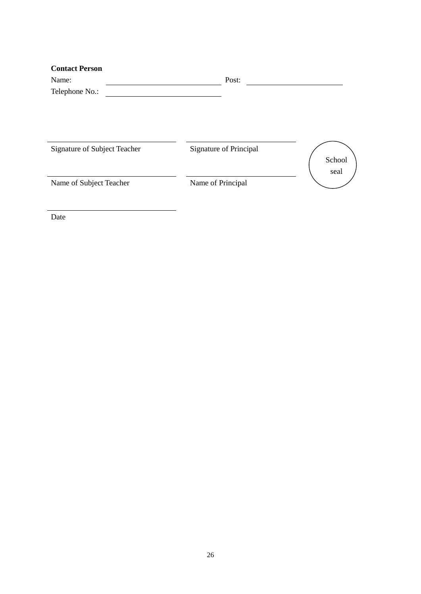| Name:<br>Telephone No.:      | Post:                  |        |
|------------------------------|------------------------|--------|
| Signature of Subject Teacher | Signature of Principal | School |
| Name of Subject Teacher      | Name of Principal      | seal   |

Date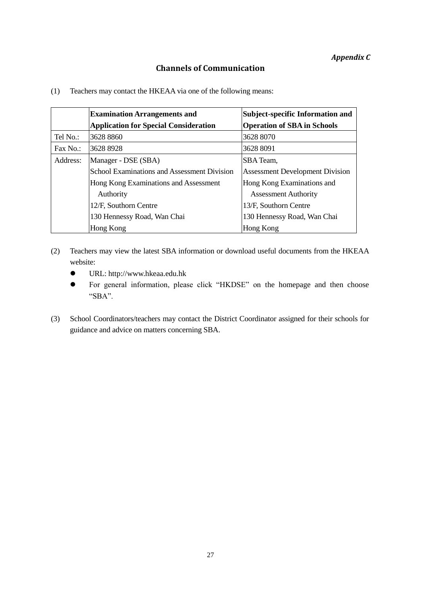# **Channels of Communication**

(1) Teachers may contact the HKEAA via one of the following means:

|          | <b>Examination Arrangements and</b>          | <b>Subject-specific Information and</b> |
|----------|----------------------------------------------|-----------------------------------------|
|          | <b>Application for Special Consideration</b> | <b>Operation of SBA in Schools</b>      |
| Tel No.: | 3628 8860                                    | 3628 8070                               |
| Fax No.: | 3628 8928                                    | 3628 8091                               |
| Address: | Manager - DSE (SBA)                          | SBA Team,                               |
|          | School Examinations and Assessment Division  | <b>Assessment Development Division</b>  |
|          | Hong Kong Examinations and Assessment        | Hong Kong Examinations and              |
|          | Authority                                    | <b>Assessment Authority</b>             |
|          | 12/F, Southorn Centre                        | 13/F, Southorn Centre                   |
|          | 130 Hennessy Road, Wan Chai                  | 130 Hennessy Road, Wan Chai             |
|          | Hong Kong                                    | Hong Kong                               |

- (2) Teachers may view the latest SBA information or download useful documents from the HKEAA website:
	- URL: [http://www.hkeaa.edu.hk](http://www.hkeaa.edu.hk/)
	- For general information, please click "HKDSE" on the homepage and then choose "SBA".
- (3) School Coordinators/teachers may contact the District Coordinator assigned for their schools for guidance and advice on matters concerning SBA.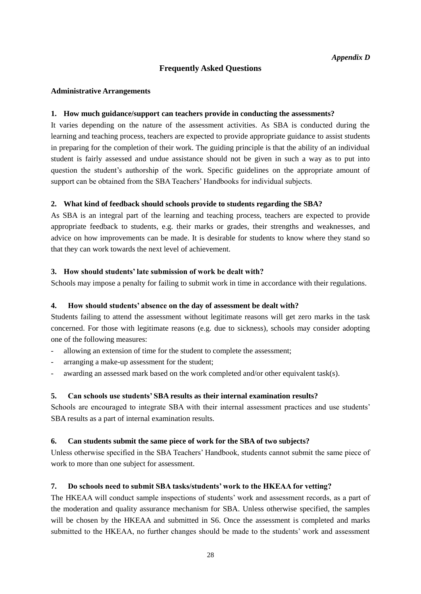# **Frequently Asked Questions**

#### **Administrative Arrangements**

## **1. How much guidance/support can teachers provide in conducting the assessments?**

It varies depending on the nature of the assessment activities. As SBA is conducted during the learning and teaching process, teachers are expected to provide appropriate guidance to assist students in preparing for the completion of their work. The guiding principle is that the ability of an individual student is fairly assessed and undue assistance should not be given in such a way as to put into question the student's authorship of the work. Specific guidelines on the appropriate amount of support can be obtained from the SBA Teachers' Handbooks for individual subjects.

### **2. What kind of feedback should schools provide to students regarding the SBA?**

As SBA is an integral part of the learning and teaching process, teachers are expected to provide appropriate feedback to students, e.g. their marks or grades, their strengths and weaknesses, and advice on how improvements can be made. It is desirable for students to know where they stand so that they can work towards the next level of achievement.

## **3. How should students' late submission of work be dealt with?**

Schools may impose a penalty for failing to submit work in time in accordance with their regulations.

#### **4. How should students' absence on the day of assessment be dealt with?**

Students failing to attend the assessment without legitimate reasons will get zero marks in the task concerned. For those with legitimate reasons (e.g. due to sickness), schools may consider adopting one of the following measures:

- allowing an extension of time for the student to complete the assessment;
- arranging a make-up assessment for the student;
- awarding an assessed mark based on the work completed and/or other equivalent task(s).

## **5. Can schools use students' SBA results as their internal examination results?**

Schools are encouraged to integrate SBA with their internal assessment practices and use students' SBA results as a part of internal examination results.

#### **6. Can students submit the same piece of work for the SBA of two subjects?**

Unless otherwise specified in the SBA Teachers' Handbook, students cannot submit the same piece of work to more than one subject for assessment.

#### **7. Do schools need to submit SBA tasks/students' work to the HKEAA for vetting?**

The HKEAA will conduct sample inspections of students' work and assessment records, as a part of the moderation and quality assurance mechanism for SBA. Unless otherwise specified, the samples will be chosen by the HKEAA and submitted in S6. Once the assessment is completed and marks submitted to the HKEAA, no further changes should be made to the students' work and assessment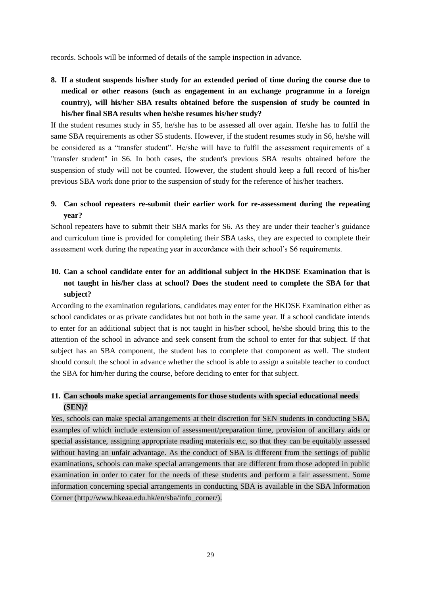records. Schools will be informed of details of the sample inspection in advance.

**8. If a student suspends his/her study for an extended period of time during the course due to medical or other reasons (such as engagement in an exchange programme in a foreign country), will his/her SBA results obtained before the suspension of study be counted in his/her final SBA results when he/she resumes his/her study?**

If the student resumes study in S5, he/she has to be assessed all over again. He/she has to fulfil the same SBA requirements as other S5 students. However, if the student resumes study in S6, he/she will be considered as a "transfer student". He/she will have to fulfil the assessment requirements of a "transfer student" in S6. In both cases, the student's previous SBA results obtained before the suspension of study will not be counted. However, the student should keep a full record of his/her previous SBA work done prior to the suspension of study for the reference of his/her teachers.

# **9. Can school repeaters re-submit their earlier work for re-assessment during the repeating year?**

School repeaters have to submit their SBA marks for S6. As they are under their teacher's guidance and curriculum time is provided for completing their SBA tasks, they are expected to complete their assessment work during the repeating year in accordance with their school's S6 requirements.

# **10. Can a school candidate enter for an additional subject in the HKDSE Examination that is not taught in his/her class at school? Does the student need to complete the SBA for that subject?**

According to the examination regulations, candidates may enter for the HKDSE Examination either as school candidates or as private candidates but not both in the same year. If a school candidate intends to enter for an additional subject that is not taught in his/her school, he/she should bring this to the attention of the school in advance and seek consent from the school to enter for that subject. If that subject has an SBA component, the student has to complete that component as well. The student should consult the school in advance whether the school is able to assign a suitable teacher to conduct the SBA for him/her during the course, before deciding to enter for that subject.

# **11. Can schools make special arrangements for those students with special educational needs (SEN)?**

Yes, schools can make special arrangements at their discretion for SEN students in conducting SBA, examples of which include extension of assessment/preparation time, provision of ancillary aids or special assistance, assigning appropriate reading materials etc, so that they can be equitably assessed without having an unfair advantage. As the conduct of SBA is different from the settings of public examinations, schools can make special arrangements that are different from those adopted in public examination in order to cater for the needs of these students and perform a fair assessment. Some information concerning special arrangements in conducting SBA is available in the SBA Information Corner (http://www.hkeaa.edu.hk/en/sba/info\_corner/).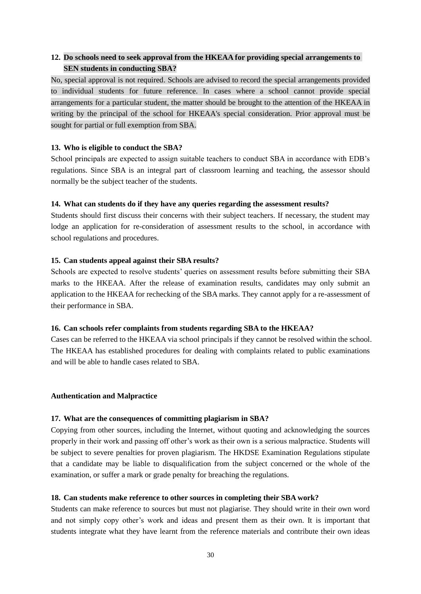# **12. Do schools need to seek approval from the HKEAA for providing special arrangements to SEN students in conducting SBA?**

No, special approval is not required. Schools are advised to record the special arrangements provided to individual students for future reference. In cases where a school cannot provide special arrangements for a particular student, the matter should be brought to the attention of the HKEAA in writing by the principal of the school for HKEAA's special consideration. Prior approval must be sought for partial or full exemption from SBA.

# **13. Who is eligible to conduct the SBA?**

School principals are expected to assign suitable teachers to conduct SBA in accordance with EDB's regulations. Since SBA is an integral part of classroom learning and teaching, the assessor should normally be the subject teacher of the students.

# **14. What can students do if they have any queries regarding the assessment results?**

Students should first discuss their concerns with their subject teachers. If necessary, the student may lodge an application for re-consideration of assessment results to the school, in accordance with school regulations and procedures.

# **15. Can students appeal against their SBA results?**

Schools are expected to resolve students' queries on assessment results before submitting their SBA marks to the HKEAA. After the release of examination results, candidates may only submit an application to the HKEAA for rechecking of the SBA marks. They cannot apply for a re-assessment of their performance in SBA.

## **16. Can schools refer complaints from students regarding SBA to the HKEAA?**

Cases can be referred to the HKEAA via school principals if they cannot be resolved within the school. The HKEAA has established procedures for dealing with complaints related to public examinations and will be able to handle cases related to SBA.

## **Authentication and Malpractice**

## **17. What are the consequences of committing plagiarism in SBA?**

Copying from other sources, including the Internet, without quoting and acknowledging the sources properly in their work and passing off other's work as their own is a serious malpractice. Students will be subject to severe penalties for proven plagiarism. The HKDSE Examination Regulations stipulate that a candidate may be liable to disqualification from the subject concerned or the whole of the examination, or suffer a mark or grade penalty for breaching the regulations.

# **18. Can students make reference to other sources in completing their SBA work?**

Students can make reference to sources but must not plagiarise. They should write in their own word and not simply copy other's work and ideas and present them as their own. It is important that students integrate what they have learnt from the reference materials and contribute their own ideas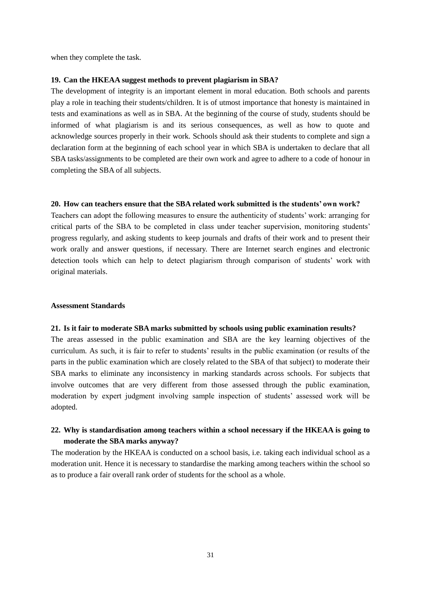when they complete the task.

#### **19. Can the HKEAA suggest methods to prevent plagiarism in SBA?**

The development of integrity is an important element in moral education. Both schools and parents play a role in teaching their students/children. It is of utmost importance that honesty is maintained in tests and examinations as well as in SBA. At the beginning of the course of study, students should be informed of what plagiarism is and its serious consequences, as well as how to quote and acknowledge sources properly in their work. Schools should ask their students to complete and sign a declaration form at the beginning of each school year in which SBA is undertaken to declare that all SBA tasks/assignments to be completed are their own work and agree to adhere to a code of honour in completing the SBA of all subjects.

#### **20. How can teachers ensure that the SBA related work submitted is the students' own work?**

Teachers can adopt the following measures to ensure the authenticity of students' work: arranging for critical parts of the SBA to be completed in class under teacher supervision, monitoring students' progress regularly, and asking students to keep journals and drafts of their work and to present their work orally and answer questions, if necessary. There are Internet search engines and electronic detection tools which can help to detect plagiarism through comparison of students' work with original materials.

## **Assessment Standards**

#### **21. Is it fair to moderate SBA marks submitted by schools using public examination results?**

The areas assessed in the public examination and SBA are the key learning objectives of the curriculum. As such, it is fair to refer to students' results in the public examination (or results of the parts in the public examination which are closely related to the SBA of that subject) to moderate their SBA marks to eliminate any inconsistency in marking standards across schools. For subjects that involve outcomes that are very different from those assessed through the public examination, moderation by expert judgment involving sample inspection of students' assessed work will be adopted.

# **22. Why is standardisation among teachers within a school necessary if the HKEAA is going to moderate the SBA marks anyway?**

The moderation by the HKEAA is conducted on a school basis, i.e. taking each individual school as a moderation unit. Hence it is necessary to standardise the marking among teachers within the school so as to produce a fair overall rank order of students for the school as a whole.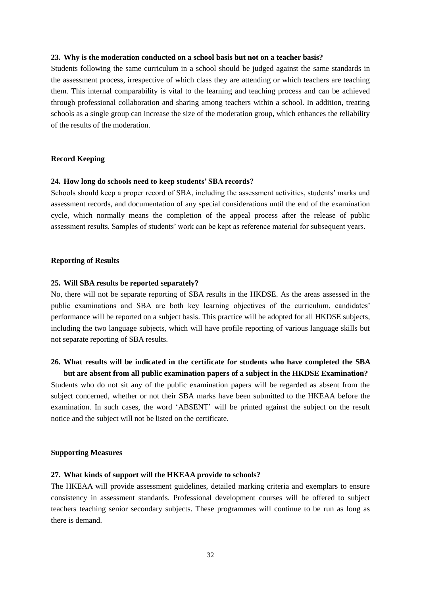#### **23. Why is the moderation conducted on a school basis but not on a teacher basis?**

Students following the same curriculum in a school should be judged against the same standards in the assessment process, irrespective of which class they are attending or which teachers are teaching them. This internal comparability is vital to the learning and teaching process and can be achieved through professional collaboration and sharing among teachers within a school. In addition, treating schools as a single group can increase the size of the moderation group, which enhances the reliability of the results of the moderation.

#### **Record Keeping**

#### **24. How long do schools need to keep students' SBA records?**

Schools should keep a proper record of SBA, including the assessment activities, students' marks and assessment records, and documentation of any special considerations until the end of the examination cycle, which normally means the completion of the appeal process after the release of public assessment results. Samples of students' work can be kept as reference material for subsequent years.

#### **Reporting of Results**

#### **25. Will SBA results be reported separately?**

No, there will not be separate reporting of SBA results in the HKDSE. As the areas assessed in the public examinations and SBA are both key learning objectives of the curriculum, candidates' performance will be reported on a subject basis. This practice will be adopted for all HKDSE subjects, including the two language subjects, which will have profile reporting of various language skills but not separate reporting of SBA results.

# **26. What results will be indicated in the certificate for students who have completed the SBA**

**but are absent from all public examination papers of a subject in the HKDSE Examination?** Students who do not sit any of the public examination papers will be regarded as absent from the subject concerned, whether or not their SBA marks have been submitted to the HKEAA before the examination. In such cases, the word 'ABSENT' will be printed against the subject on the result notice and the subject will not be listed on the certificate.

#### **Supporting Measures**

#### **27. What kinds of support will the HKEAA provide to schools?**

The HKEAA will provide assessment guidelines, detailed marking criteria and exemplars to ensure consistency in assessment standards. Professional development courses will be offered to subject teachers teaching senior secondary subjects. These programmes will continue to be run as long as there is demand.